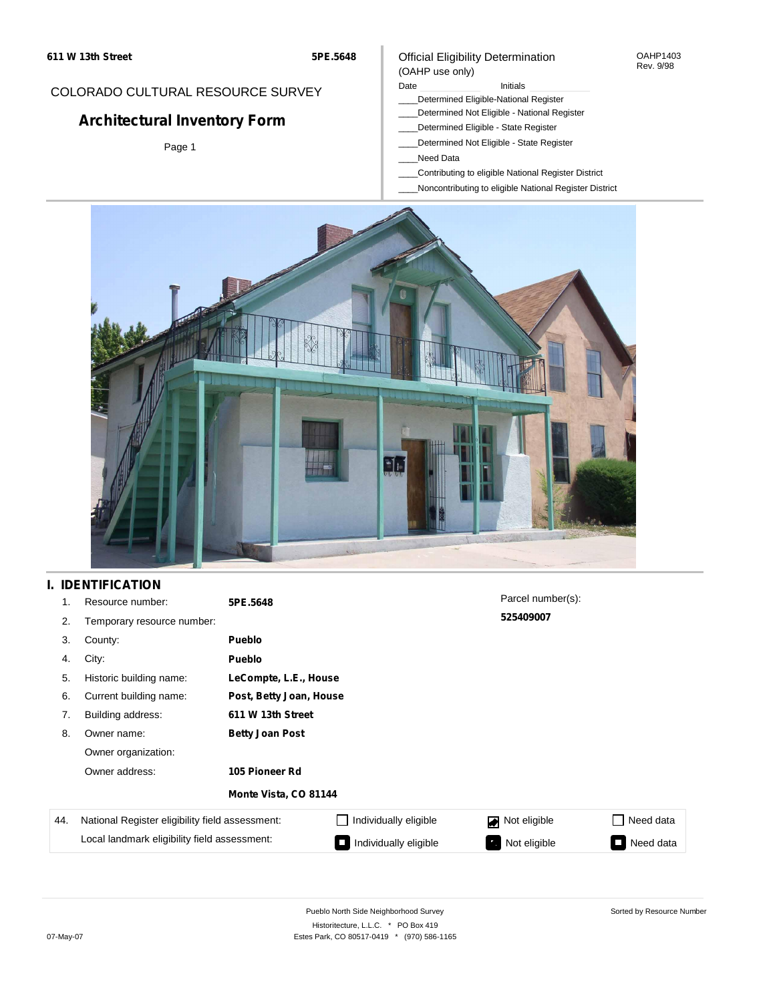#### OAHP1403 Rev. 9/98

### COLORADO CULTURAL RESOURCE SURVEY

# **Architectural Inventory Form**

Page 1

#### (OAHP use only) Date **Initials** Initials

\_\_\_\_Determined Eligible-National Register

Official Eligibility Determination

- \_\_\_\_Determined Not Eligible National Register
- \_\_\_\_Determined Eligible State Register
- \_\_\_\_Determined Not Eligible State Register
- \_\_\_\_Need Data
- \_\_\_\_Contributing to eligible National Register District
- \_\_\_\_Noncontributing to eligible National Register District



## **I. IDENTIFICATION**

| 1.  | Resource number:                                | 5PE.5648               |                         | Parcel number(s): |           |  |  |
|-----|-------------------------------------------------|------------------------|-------------------------|-------------------|-----------|--|--|
| 2.  | Temporary resource number:                      |                        |                         | 525409007         |           |  |  |
| 3.  | County:                                         | <b>Pueblo</b>          |                         |                   |           |  |  |
| 4.  | City:                                           | <b>Pueblo</b>          |                         |                   |           |  |  |
| 5.  | Historic building name:                         | LeCompte, L.E., House  |                         |                   |           |  |  |
| 6.  | Current building name:                          |                        | Post, Betty Joan, House |                   |           |  |  |
| 7.  | Building address:                               | 611 W 13th Street      |                         |                   |           |  |  |
| 8.  | Owner name:                                     | <b>Betty Joan Post</b> |                         |                   |           |  |  |
|     | Owner organization:                             |                        |                         |                   |           |  |  |
|     | Owner address:                                  | 105 Pioneer Rd         |                         |                   |           |  |  |
|     |                                                 | Monte Vista, CO 81144  |                         |                   |           |  |  |
| 44. | National Register eligibility field assessment: |                        | Individually eligible   | Not eligible<br>◪ | Need data |  |  |
|     | Local landmark eligibility field assessment:    |                        | Individually eligible   | Not eligible<br>Ø | Need data |  |  |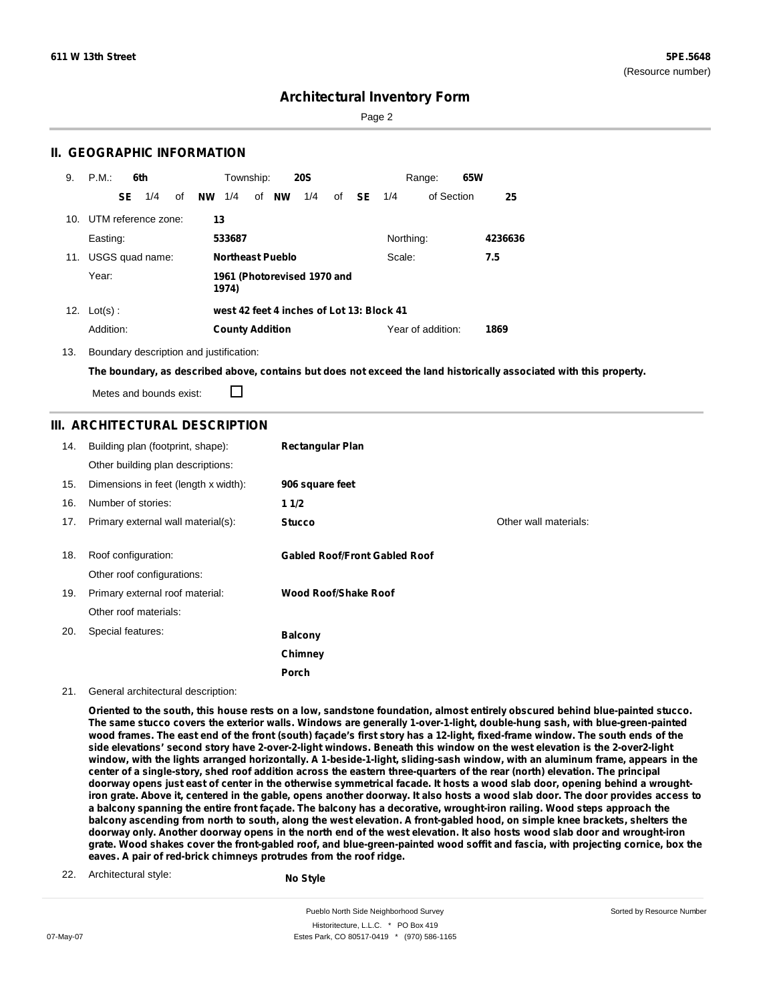Sorted by Resource Number

## **Architectural Inventory Form**

Page 2

### **II. GEOGRAPHIC INFORMATION**

| 9.  | P.M                 |     | 6th             |    |           | Township:              |    |                         | <b>20S</b>                                |    |           |           | Range:            | 65W |         |
|-----|---------------------|-----|-----------------|----|-----------|------------------------|----|-------------------------|-------------------------------------------|----|-----------|-----------|-------------------|-----|---------|
|     |                     | SE. | 1/4             | οf | <b>NW</b> | 1/4                    | of | <b>NW</b>               | 1/4                                       | of | <b>SE</b> | 1/4       | of Section        |     | 25      |
| 10. | UTM reference zone: |     |                 |    | 13        |                        |    |                         |                                           |    |           |           |                   |     |         |
|     | Easting:            |     |                 |    |           | 533687                 |    |                         |                                           |    |           | Northing: |                   |     | 4236636 |
| 11. |                     |     | USGS quad name: |    |           |                        |    | <b>Northeast Pueblo</b> |                                           |    |           | Scale:    |                   |     | 7.5     |
|     | Year:               |     |                 |    |           | 1974)                  |    |                         | 1961 (Photorevised 1970 and               |    |           |           |                   |     |         |
|     | 12. $Lot(s)$ :      |     |                 |    |           |                        |    |                         | west 42 feet 4 inches of Lot 13: Block 41 |    |           |           |                   |     |         |
|     | Addition:           |     |                 |    |           | <b>County Addition</b> |    |                         |                                           |    |           |           | Year of addition: |     | 1869    |

13. Boundary description and justification:

The boundary, as described above, contains but does not exceed the land historically associated with this property.

Metes and bounds exist:

П

### **III. ARCHITECTURAL DESCRIPTION**

| 14. | Building plan (footprint, shape):<br>Other building plan descriptions: | <b>Rectangular Plan</b>              |                       |
|-----|------------------------------------------------------------------------|--------------------------------------|-----------------------|
| 15. | Dimensions in feet (length x width):                                   | 906 square feet                      |                       |
| 16. | Number of stories:                                                     | 11/2                                 |                       |
| 17. | Primary external wall material(s):                                     | <b>Stucco</b>                        | Other wall materials: |
| 18. | Roof configuration:<br>Other roof configurations:                      | <b>Gabled Roof/Front Gabled Roof</b> |                       |
| 19. | Primary external roof material:                                        | Wood Roof/Shake Roof                 |                       |
|     | Other roof materials:                                                  |                                      |                       |
| 20. | Special features:                                                      | <b>Balcony</b>                       |                       |
|     |                                                                        | Chimney                              |                       |
|     |                                                                        | Porch                                |                       |

#### 21. General architectural description:

Oriented to the south, this house rests on a low, sandstone foundation, almost entirely obscured behind blue-painted stucco. The same stucco covers the exterior walls. Windows are generally 1-over-1-light, double-hung sash, with blue-green-painted wood frames. The east end of the front (south) façade's first story has a 12-light, fixed-frame window. The south ends of the side elevations' second story have 2-over-2-light windows. Beneath this window on the west elevation is the 2-over2-light window, with the lights arranged horizontally. A 1-beside-1-light, sliding-sash window, with an aluminum frame, appears in the center of a single-story, shed roof addition across the eastern three-quarters of the rear (north) elevation. The principal doorway opens just east of center in the otherwise symmetrical facade. It hosts a wood slab door, opening behind a wroughtiron grate. Above it, centered in the gable, opens another doorway. It also hosts a wood slab door. The door provides access to a balcony spanning the entire front façade. The balcony has a decorative, wrought-iron railing. Wood steps approach the balcony ascending from north to south, along the west elevation. A front-gabled hood, on simple knee brackets, shelters the doorway only. Another doorway opens in the north end of the west elevation. It also hosts wood slab door and wrought-iron grate. Wood shakes cover the front-gabled roof, and blue-green-painted wood soffit and fascia, with projecting cornice, box the **eaves. A pair of red-brick chimneys protrudes from the roof ridge.**

22. Architectural style:

**No Style**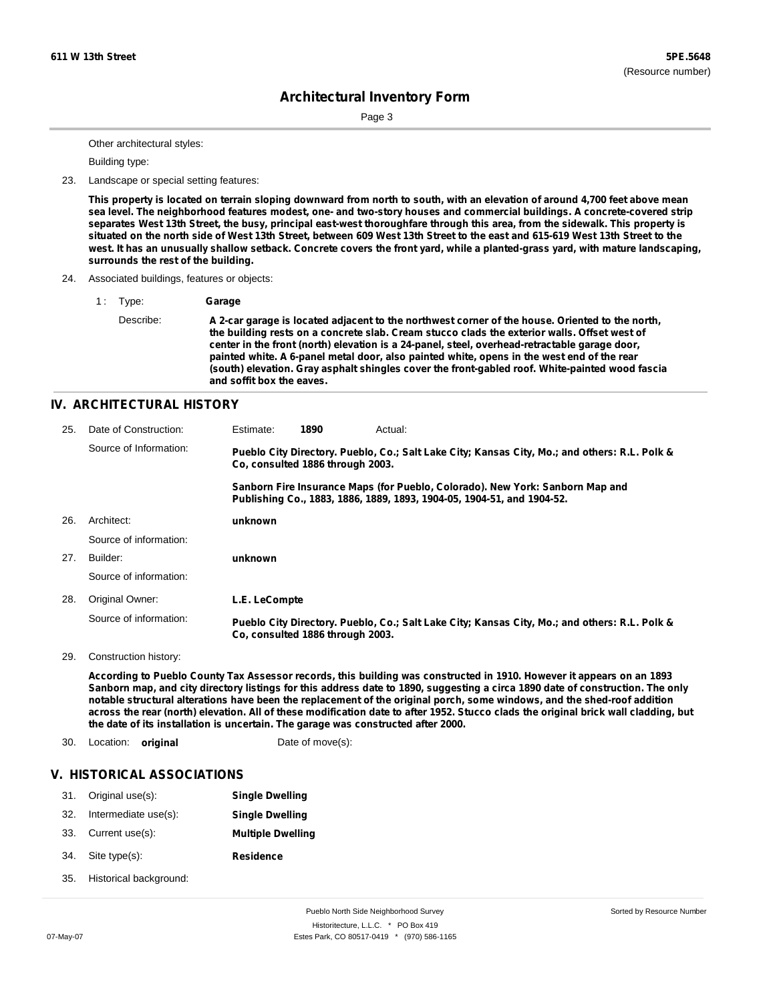Page 3

Other architectural styles:

Building type:

23. Landscape or special setting features:

This property is located on terrain sloping downward from north to south, with an elevation of around 4,700 feet above mean sea level. The neighborhood features modest, one- and two-story houses and commercial buildings. A concrete-covered strip separates West 13th Street, the busy, principal east-west thoroughfare through this area, from the sidewalk. This property is situated on the north side of West 13th Street, between 609 West 13th Street to the east and 615-619 West 13th Street to the west. It has an unusually shallow setback. Concrete covers the front yard, while a planted-grass yard, with mature landscaping, **surrounds the rest of the building.**

24. Associated buildings, features or objects:

1 : Type: **Garage** Describe: **A 2-car garage is located adjacent to the northwest corner of the house. Oriented to the north, the building rests on a concrete slab. Cream stucco clads the exterior walls. Offset west of center in the front (north) elevation is a 24-panel, steel, overhead-retractable garage door, painted white. A 6-panel metal door, also painted white, opens in the west end of the rear (south) elevation. Gray asphalt shingles cover the front-gabled roof. White-painted wood fascia and soffit box the eaves.**

#### **IV. ARCHITECTURAL HISTORY**

| 25. | Date of Construction:  | Estimate:     | 1890                             | Actual:                                                                                                                                                 |
|-----|------------------------|---------------|----------------------------------|---------------------------------------------------------------------------------------------------------------------------------------------------------|
|     | Source of Information: |               | Co. consulted 1886 through 2003. | Pueblo City Directory. Pueblo, Co.; Salt Lake City; Kansas City, Mo.; and others: R.L. Polk &                                                           |
|     |                        |               |                                  | Sanborn Fire Insurance Maps (for Pueblo, Colorado). New York: Sanborn Map and<br>Publishing Co., 1883, 1886, 1889, 1893, 1904-05, 1904-51, and 1904-52. |
| 26. | Architect:             | unknown       |                                  |                                                                                                                                                         |
|     | Source of information: |               |                                  |                                                                                                                                                         |
| 27. | Builder:               | unknown       |                                  |                                                                                                                                                         |
|     | Source of information: |               |                                  |                                                                                                                                                         |
| 28. | Original Owner:        | L.E. LeCompte |                                  |                                                                                                                                                         |
|     | Source of information: |               | Co. consulted 1886 through 2003. | Pueblo City Directory. Pueblo, Co.; Salt Lake City; Kansas City, Mo.; and others: R.L. Polk &                                                           |

29. Construction history:

According to Pueblo County Tax Assessor records, this building was constructed in 1910. However it appears on an 1893 Sanborn map, and city directory listings for this address date to 1890, suggesting a circa 1890 date of construction. The only notable structural alterations have been the replacement of the original porch, some windows, and the shed-roof addition across the rear (north) elevation. All of these modification date to after 1952. Stucco clads the original brick wall cladding, but **the date of its installation is uncertain. The garage was constructed after 2000.**

30. Location: **original** Date of move(s):

#### **V. HISTORICAL ASSOCIATIONS**

| 31. | Original use(s):       | <b>Single Dwelling</b>   |
|-----|------------------------|--------------------------|
| 32. | Intermediate use(s):   | <b>Single Dwelling</b>   |
| 33. | Current use(s):        | <b>Multiple Dwelling</b> |
| 34. | Site type(s):          | <b>Residence</b>         |
| 35. | Historical background: |                          |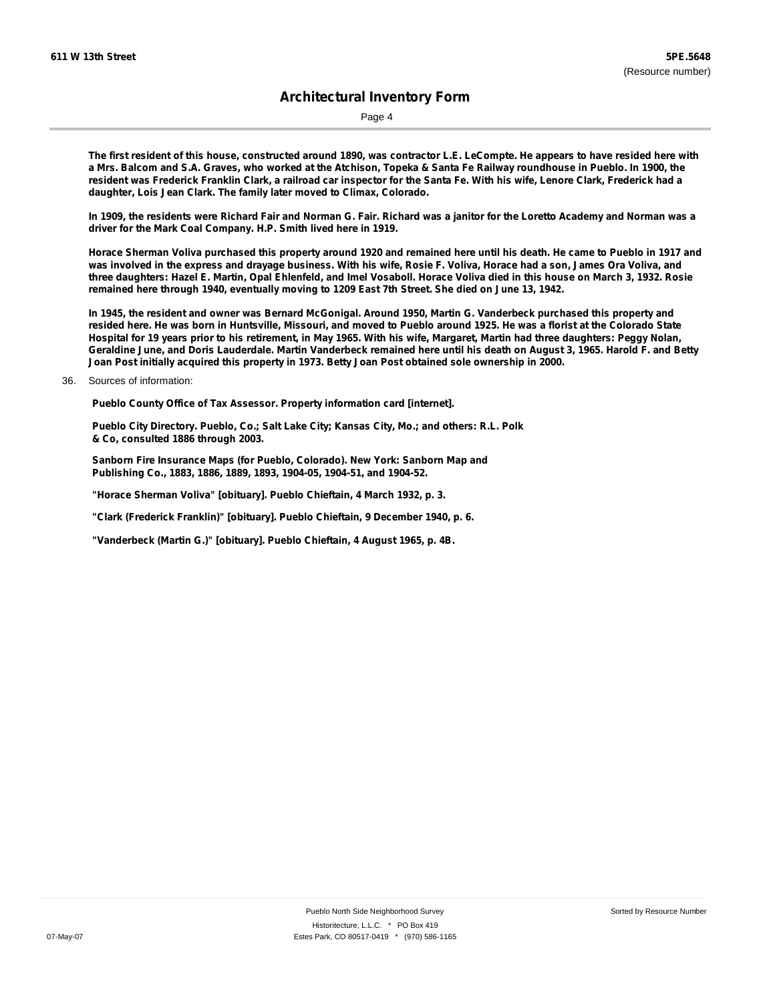Page 4

The first resident of this house, constructed around 1890, was contractor L.E. LeCompte. He appears to have resided here with a Mrs. Balcom and S.A. Graves, who worked at the Atchison, Topeka & Santa Fe Railway roundhouse in Pueblo. In 1900, the resident was Frederick Franklin Clark, a railroad car inspector for the Santa Fe. With his wife, Lenore Clark, Frederick had a **daughter, Lois Jean Clark. The family later moved to Climax, Colorado.**

In 1909, the residents were Richard Fair and Norman G. Fair. Richard was a janitor for the Loretto Academy and Norman was a **driver for the Mark Coal Company. H.P. Smith lived here in 1919.**

Horace Sherman Voliva purchased this property around 1920 and remained here until his death. He came to Pueblo in 1917 and was involved in the express and drayage business. With his wife, Rosie F. Voliva, Horace had a son, James Ora Voliva, and three daughters: Hazel E. Martin, Opal Ehlenfeld, and Imel Vosaboll. Horace Voliva died in this house on March 3, 1932. Rosie **remained here through 1940, eventually moving to 1209 East 7th Street. She died on June 13, 1942.**

In 1945, the resident and owner was Bernard McGonigal. Around 1950, Martin G. Vanderbeck purchased this property and resided here. He was born in Huntsville, Missouri, and moved to Pueblo around 1925. He was a florist at the Colorado State Hospital for 19 years prior to his retirement, in May 1965. With his wife, Margaret, Martin had three daughters: Peggy Nolan, Geraldine June, and Doris Lauderdale. Martin Vanderbeck remained here until his death on August 3, 1965. Harold F. and Betty **Joan Post initially acquired this property in 1973. Betty Joan Post obtained sole ownership in 2000.**

**Pueblo County Office of Tax Assessor. Property information card [internet].**

**Pueblo City Directory. Pueblo, Co.; Salt Lake City; Kansas City, Mo.; and others: R.L. Polk & Co, consulted 1886 through 2003.**

**Sanborn Fire Insurance Maps (for Pueblo, Colorado). New York: Sanborn Map and Publishing Co., 1883, 1886, 1889, 1893, 1904-05, 1904-51, and 1904-52.**

**"Horace Sherman Voliva" [obituary]. Pueblo Chieftain, 4 March 1932, p. 3.**

**"Clark (Frederick Franklin)" [obituary]. Pueblo Chieftain, 9 December 1940, p. 6.**

**"Vanderbeck (Martin G.)" [obituary]. Pueblo Chieftain, 4 August 1965, p. 4B.**

<sup>36.</sup> Sources of information: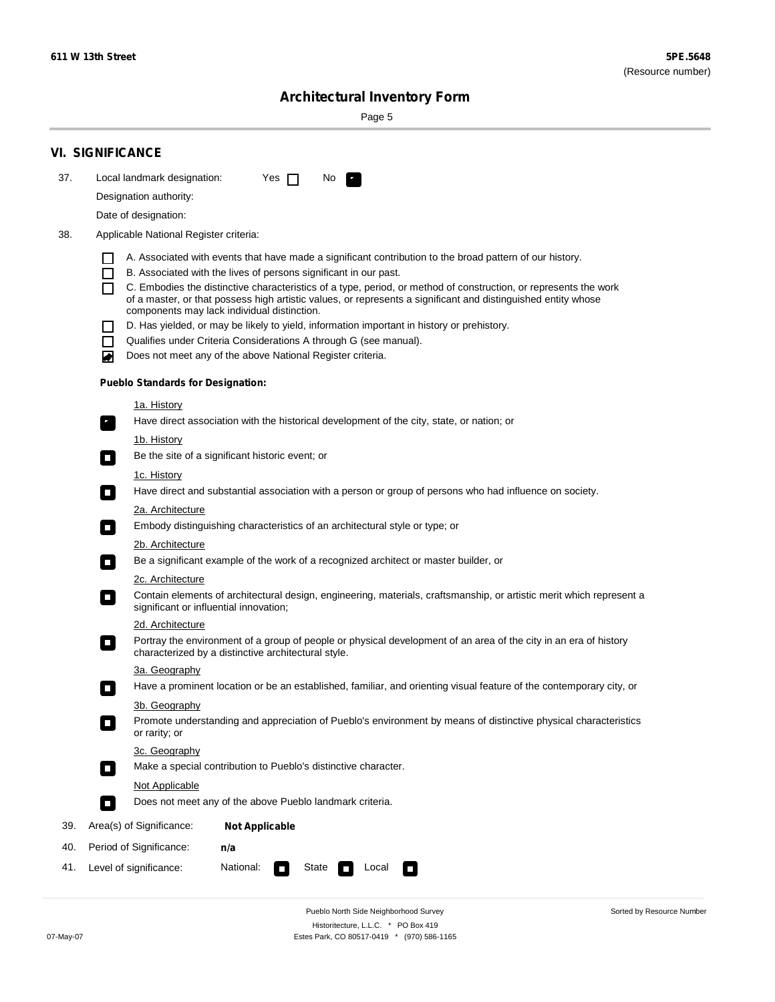Sorted by Resource Number

# **Architectural Inventory Form**

Page 5

|     | <b>VI. SIGNIFICANCE</b>                                                                                                                                                                        |  |  |  |  |  |  |  |  |
|-----|------------------------------------------------------------------------------------------------------------------------------------------------------------------------------------------------|--|--|--|--|--|--|--|--|
| 37. | Local landmark designation:<br>Yes $\Box$<br>No.<br>HE 2                                                                                                                                       |  |  |  |  |  |  |  |  |
|     | Designation authority:                                                                                                                                                                         |  |  |  |  |  |  |  |  |
|     | Date of designation:                                                                                                                                                                           |  |  |  |  |  |  |  |  |
| 38. | Applicable National Register criteria:                                                                                                                                                         |  |  |  |  |  |  |  |  |
|     |                                                                                                                                                                                                |  |  |  |  |  |  |  |  |
|     | A. Associated with events that have made a significant contribution to the broad pattern of our history.<br>B. Associated with the lives of persons significant in our past.<br>$\blacksquare$ |  |  |  |  |  |  |  |  |
|     | C. Embodies the distinctive characteristics of a type, period, or method of construction, or represents the work<br>П                                                                          |  |  |  |  |  |  |  |  |
|     | of a master, or that possess high artistic values, or represents a significant and distinguished entity whose<br>components may lack individual distinction.                                   |  |  |  |  |  |  |  |  |
|     | D. Has yielded, or may be likely to yield, information important in history or prehistory.                                                                                                     |  |  |  |  |  |  |  |  |
|     | Qualifies under Criteria Considerations A through G (see manual).<br>$\sim$                                                                                                                    |  |  |  |  |  |  |  |  |
|     | Does not meet any of the above National Register criteria.<br>₩                                                                                                                                |  |  |  |  |  |  |  |  |
|     | <b>Pueblo Standards for Designation:</b>                                                                                                                                                       |  |  |  |  |  |  |  |  |
|     | 1a. History                                                                                                                                                                                    |  |  |  |  |  |  |  |  |
|     | Have direct association with the historical development of the city, state, or nation; or<br>$\mathbf{r}_\perp$                                                                                |  |  |  |  |  |  |  |  |
|     | 1b. History                                                                                                                                                                                    |  |  |  |  |  |  |  |  |
|     | Be the site of a significant historic event; or<br>$\blacksquare$                                                                                                                              |  |  |  |  |  |  |  |  |
|     | 1c. History                                                                                                                                                                                    |  |  |  |  |  |  |  |  |
|     | Have direct and substantial association with a person or group of persons who had influence on society.<br>$\overline{\phantom{a}}$                                                            |  |  |  |  |  |  |  |  |
|     | 2a. Architecture<br>Embody distinguishing characteristics of an architectural style or type; or<br>$\mathcal{L}_{\mathcal{A}}$                                                                 |  |  |  |  |  |  |  |  |
|     | <u>2b. Architecture</u>                                                                                                                                                                        |  |  |  |  |  |  |  |  |
|     | Be a significant example of the work of a recognized architect or master builder, or<br>$\Box$                                                                                                 |  |  |  |  |  |  |  |  |
|     | 2c. Architecture                                                                                                                                                                               |  |  |  |  |  |  |  |  |
|     | Contain elements of architectural design, engineering, materials, craftsmanship, or artistic merit which represent a<br>$\Box$<br>significant or influential innovation;                       |  |  |  |  |  |  |  |  |
|     | 2d. Architecture                                                                                                                                                                               |  |  |  |  |  |  |  |  |
|     | Portray the environment of a group of people or physical development of an area of the city in an era of history<br>$\Box$<br>characterized by a distinctive architectural style.              |  |  |  |  |  |  |  |  |
|     | 3a. Geography                                                                                                                                                                                  |  |  |  |  |  |  |  |  |
|     | Have a prominent location or be an established, familiar, and orienting visual feature of the contemporary city, or                                                                            |  |  |  |  |  |  |  |  |
|     | 3b. Geography                                                                                                                                                                                  |  |  |  |  |  |  |  |  |
|     | Promote understanding and appreciation of Pueblo's environment by means of distinctive physical characteristics<br>or rarity; or                                                               |  |  |  |  |  |  |  |  |
|     | 3c. Geography                                                                                                                                                                                  |  |  |  |  |  |  |  |  |
|     | Make a special contribution to Pueblo's distinctive character.<br>$\Box$                                                                                                                       |  |  |  |  |  |  |  |  |
|     | <b>Not Applicable</b>                                                                                                                                                                          |  |  |  |  |  |  |  |  |
|     | Does not meet any of the above Pueblo landmark criteria.<br>$\overline{\phantom{a}}$                                                                                                           |  |  |  |  |  |  |  |  |
| 39. | Area(s) of Significance:<br><b>Not Applicable</b>                                                                                                                                              |  |  |  |  |  |  |  |  |
| 40. | Period of Significance:<br>n/a                                                                                                                                                                 |  |  |  |  |  |  |  |  |
| 41. | National:<br>Level of significance:<br>State<br>Local<br>$\Box$<br>□                                                                                                                           |  |  |  |  |  |  |  |  |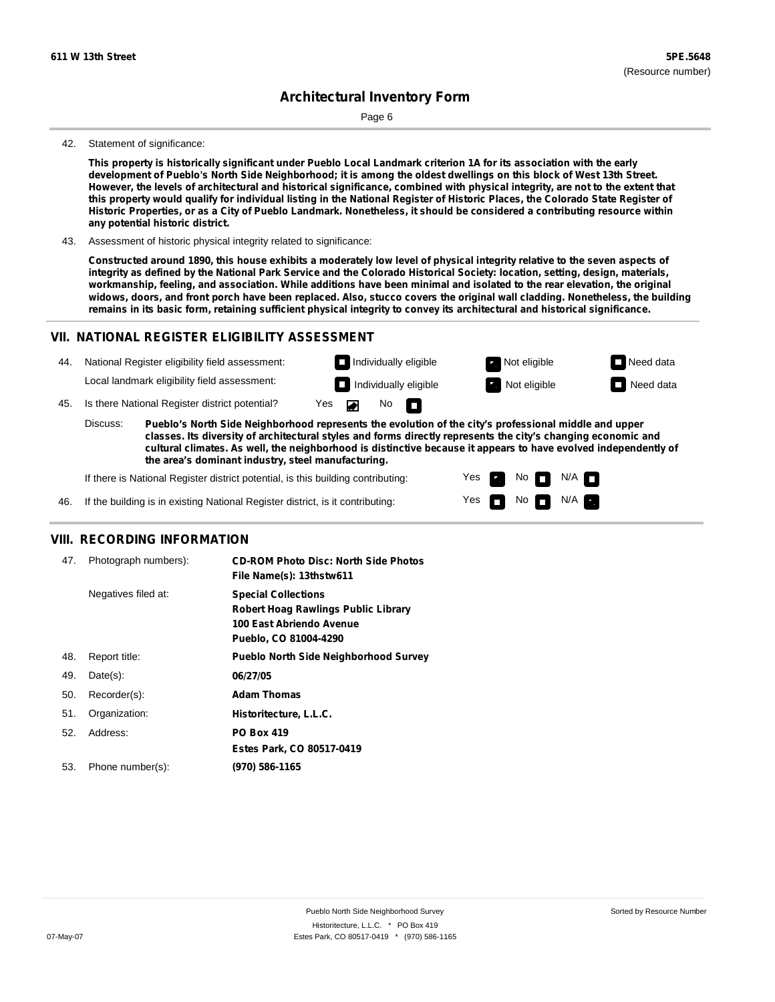Page 6

#### 42. Statement of significance:

This property is historically significant under Pueblo Local Landmark criterion 1A for its association with the early development of Pueblo's North Side Neighborhood; it is among the oldest dwellings on this block of West 13th Street. However, the levels of architectural and historical significance, combined with physical integrity, are not to the extent that this property would qualify for individual listing in the National Register of Historic Places, the Colorado State Register of Historic Properties, or as a City of Pueblo Landmark. Nonetheless, it should be considered a contributing resource within **any potential historic district.**

43. Assessment of historic physical integrity related to significance:

Constructed around 1890, this house exhibits a moderately low level of physical integrity relative to the seven aspects of integrity as defined by the National Park Service and the Colorado Historical Society: location, setting, design, materials, workmanship, feeling, and association. While additions have been minimal and isolated to the rear elevation, the original widows, doors, and front porch have been replaced. Also, stucco covers the original wall cladding. Nonetheless, the building remains in its basic form, retaining sufficient physical integrity to convey its architectural and historical significance.

### **VII. NATIONAL REGISTER ELIGIBILITY ASSESSMENT**



**cultural climates. As well, the neighborhood is distinctive because it appears to have evolved independently of the area's dominant industry, steel manufacturing.**

> Yes Yes

m

No **DI**N/A No  $\blacksquare$  N/A  $\blacksquare$ 

If there is National Register district potential, is this building contributing:

If the building is in existing National Register district, is it contributing: 46.

#### **VIII. RECORDING INFORMATION**

| 47. | Photograph numbers): | <b>CD-ROM Photo Disc: North Side Photos</b><br>File Name(s): 13thstw611                                                       |
|-----|----------------------|-------------------------------------------------------------------------------------------------------------------------------|
|     | Negatives filed at:  | <b>Special Collections</b><br><b>Robert Hoag Rawlings Public Library</b><br>100 East Abriendo Avenue<br>Pueblo, CO 81004-4290 |
| 48. | Report title:        | <b>Pueblo North Side Neighborhood Survey</b>                                                                                  |
| 49. | $Date(s)$ :          | 06/27/05                                                                                                                      |
| 50. | Recorder(s):         | <b>Adam Thomas</b>                                                                                                            |
| 51. | Organization:        | Historitecture, L.L.C.                                                                                                        |
| 52. | Address:             | <b>PO Box 419</b>                                                                                                             |
|     |                      | Estes Park, CO 80517-0419                                                                                                     |
| 53. | Phone number(s):     | (970) 586-1165                                                                                                                |
|     |                      |                                                                                                                               |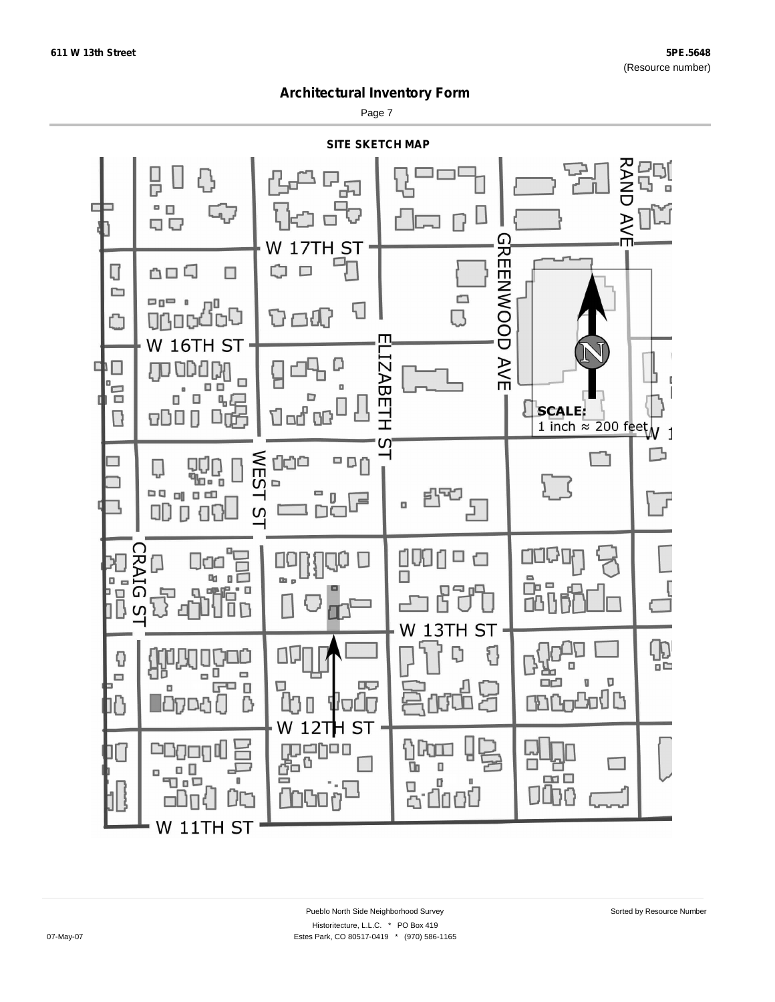Page 7